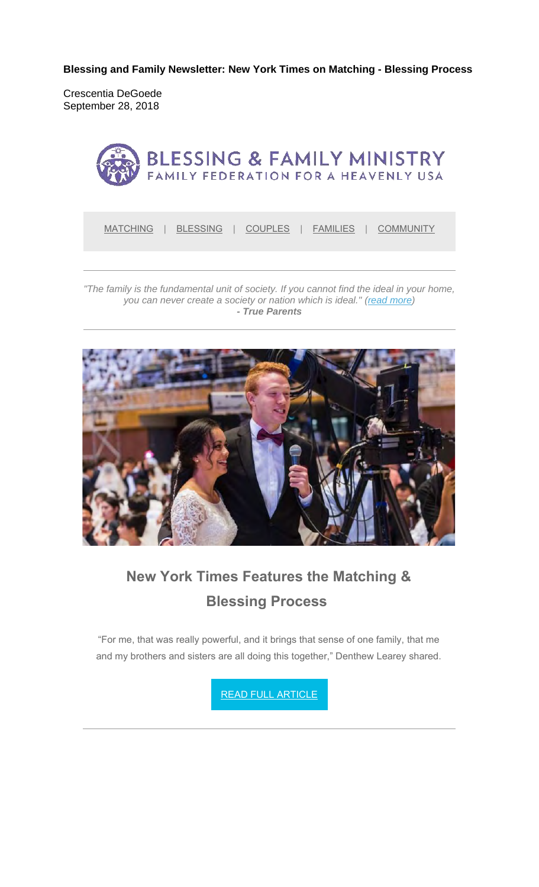**Blessing and Family Newsletter: New York Times on Matching - Blessing Process** 

Crescentia DeGoede September 28, 2018



MATCHING | BLESSING | COUPLES | FAMILIES | COMMUNITY

*"The family is the fundamental unit of society. If you cannot find the ideal in your home, you can never create a society or nation which is ideal." (read more) - True Parents*



# **New York Times Features the Matching & Blessing Process**

"For me, that was really powerful, and it brings that sense of one family, that me and my brothers and sisters are all doing this together," Denthew Learey shared.

READ FULL ARTICLE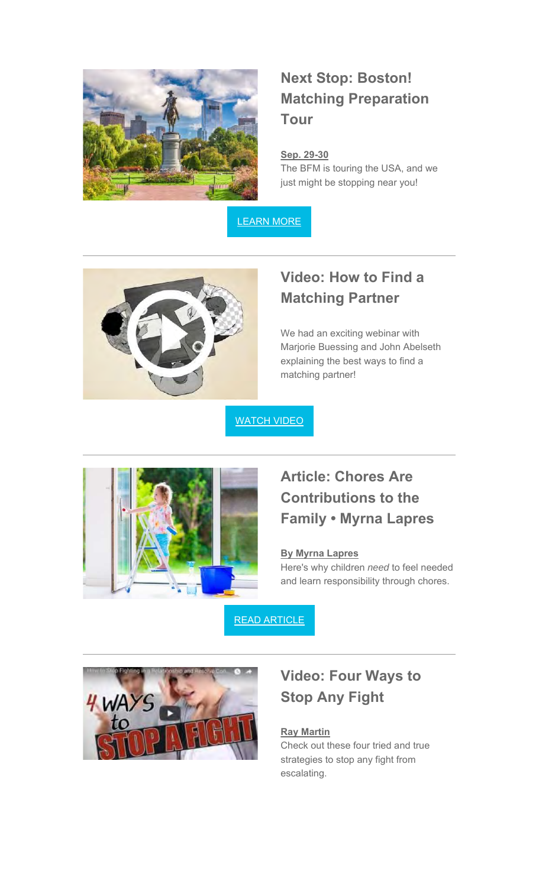

# **Next Stop: Boston! Matching Preparation Tour**

### **Sep. 29-30**

The BFM is touring the USA, and we just might be stopping near you!

LEARN MORE



### **Video: How to Find a Matching Partner**

We had an exciting webinar with Marjorie Buessing and John Abelseth explaining the best ways to find a matching partner!

**WATCH VIDEO** 



## **Article: Chores Are Contributions to the Family • Myrna Lapres**

#### **By Myrna Lapres**

Here's why children *need* to feel needed and learn responsibility through chores.

READ ARTICLE



### **Video: Four Ways to Stop Any Fight**

### **Ray Martin**

Check out these four tried and true strategies to stop any fight from escalating.